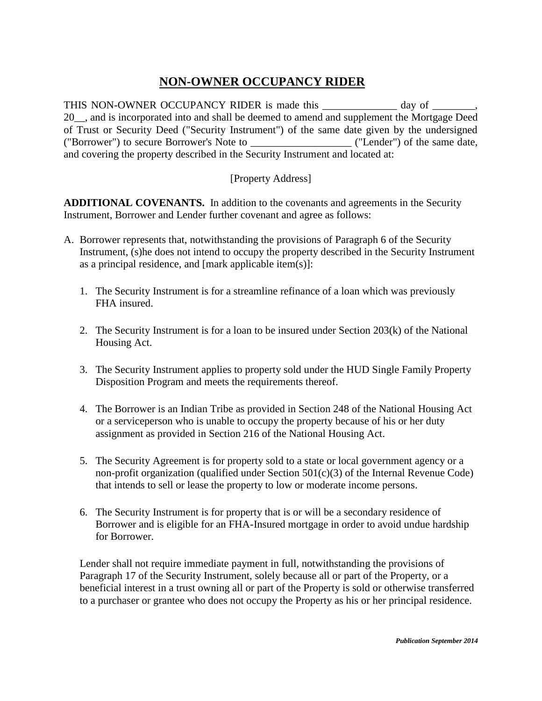## **NON-OWNER OCCUPANCY RIDER**

THIS NON-OWNER OCCUPANCY RIDER is made this \_\_\_\_\_\_\_\_\_\_\_\_\_\_ day of \_\_\_\_\_\_\_, 20. and is incorporated into and shall be deemed to amend and supplement the Mortgage Deed of Trust or Security Deed ("Security Instrument") of the same date given by the undersigned ("Borrower") to secure Borrower's Note to \_\_\_\_\_\_\_\_\_\_\_\_\_\_\_\_\_\_\_ ("Lender") of the same date, and covering the property described in the Security Instrument and located at:

## [Property Address]

**ADDITIONAL COVENANTS.** In addition to the covenants and agreements in the Security Instrument, Borrower and Lender further covenant and agree as follows:

- A. Borrower represents that, notwithstanding the provisions of Paragraph 6 of the Security Instrument, (s)he does not intend to occupy the property described in the Security Instrument as a principal residence, and [mark applicable item(s)]:
	- 1. The Security Instrument is for a streamline refinance of a loan which was previously FHA insured.
	- 2. The Security Instrument is for a loan to be insured under Section 203(k) of the National Housing Act.
	- 3. The Security Instrument applies to property sold under the HUD Single Family Property Disposition Program and meets the requirements thereof.
	- 4. The Borrower is an Indian Tribe as provided in Section 248 of the National Housing Act or a serviceperson who is unable to occupy the property because of his or her duty assignment as provided in Section 216 of the National Housing Act.
	- 5. The Security Agreement is for property sold to a state or local government agency or a non-profit organization (qualified under Section 501(c)(3) of the Internal Revenue Code) that intends to sell or lease the property to low or moderate income persons.
	- 6. The Security Instrument is for property that is or will be a secondary residence of Borrower and is eligible for an FHA-Insured mortgage in order to avoid undue hardship for Borrower.

Lender shall not require immediate payment in full, notwithstanding the provisions of Paragraph 17 of the Security Instrument, solely because all or part of the Property, or a beneficial interest in a trust owning all or part of the Property is sold or otherwise transferred to a purchaser or grantee who does not occupy the Property as his or her principal residence.